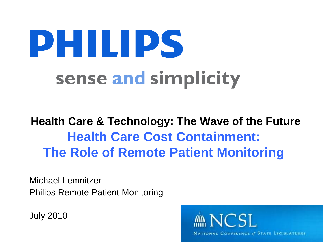# PHILIPS sense and simplicity

### **Health Care & Technology: The Wave of the Future Health Care Cost Containment: The Role of Remote Patient Monitoring**

Michael Lemnitzer Philips Remote Patient Monitoring

July 2010

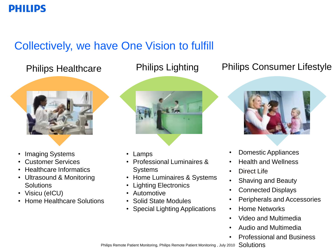#### **PHILIPS**

### Collectively, we have One Vision to fulfill



- Imaging Systems
- Customer Services
- Healthcare Informatics
- Ultrasound & Monitoring **Solutions**
- Visicu (eICU)
- Home Healthcare Solutions



- Lamps
- Professional Luminaires & **Systems**
- Home Luminaires & Systems
- Lighting Electronics
- Automotive
- Solid State Modules
- Special Lighting Applications

#### Philips Healthcare Philips Lighting Philips Consumer Lifestyle



- Domestic Appliances
- Health and Wellness
- Direct Life
- Shaving and Beauty
- Connected Displays
- Peripherals and Accessories
- Home Networks
- Video and Multimedia
- Audio and Multimedia
- Professional and Business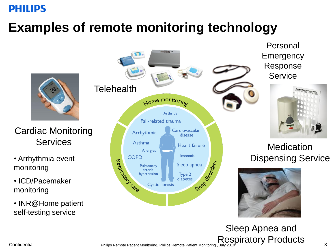#### **PHILIPS**

### **Examples of remote monitoring technology**



#### Cardiac Monitoring **Services**

- monitoring
- ICD/Pacemaker monitoring
- INR@Home patient self-testing service



Personal **Emergency** Response **Service** 



## **Medication**



Confidential **Philips Remote Patient Monitoring, Philips Remote Patient Monitoring** , July 2010<br>3 Sleep Apnea and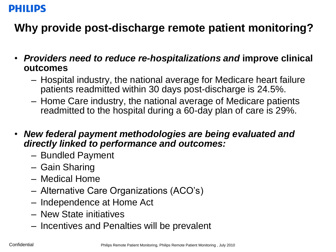#### **DHILIDS**

### **Why provide post-discharge remote patient monitoring?**

- *Providers need to reduce re-hospitalizations and* **improve clinical outcomes**
	- Hospital industry, the national average for Medicare heart failure patients readmitted within 30 days post-discharge is 24.5%.
	- Home Care industry, the national average of Medicare patients readmitted to the hospital during a 60-day plan of care is 29%.
- *New federal payment methodologies are being evaluated and directly linked to performance and outcomes:*
	- Bundled Payment
	- Gain Sharing
	- Medical Home
	- Alternative Care Organizations (ACO's)
	- Independence at Home Act
	- New State initiatives
	- Incentives and Penalties will be prevalent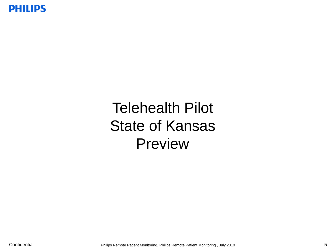

## Telehealth Pilot State of Kansas Preview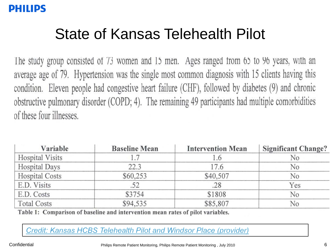### State of Kansas Telehealth Pilot

The study group consisted of 73 women and 15 men. Ages ranged from 65 to 96 years, with an average age of 79. Hypertension was the single most common diagnosis with 15 clients having this condition. Eleven people had congestive heart failure (CHF), followed by diabetes (9) and chronic obstructive pulmonary disorder (COPD; 4). The remaining 49 participants had multiple comorbidities of these four illnesses.

| Variable               | <b>Baseline Mean</b> | <b>Intervention Mean</b> | <b>Significant Change?</b> |
|------------------------|----------------------|--------------------------|----------------------------|
| <b>Hospital Visits</b> |                      | l.6                      | No                         |
| <b>Hospital Days</b>   | 22.3                 | 17.6                     | No                         |
| <b>Hospital Costs</b>  | \$60,253             | \$40,507                 | No                         |
| E.D. Visits            | .52                  | .28                      | Yes                        |
| E.D. Costs             | \$3754               | \$1808                   | No                         |
| <b>Total Costs</b>     | \$94,535             | \$85,807                 | No                         |

Table 1: Comparison of baseline and intervention mean rates of pilot variables.

Credit: Kansas HCBS Telehealth Pilot and Windsor Place (provider)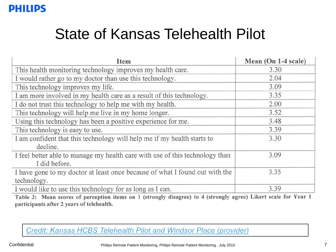#### **PHILIPS**

### State of Kansas Telehealth Pilot

| Item                                                                                          | Mean (On 1-4 scale) |
|-----------------------------------------------------------------------------------------------|---------------------|
| This health monitoring technology improves my health care.                                    | 3.30                |
| I would rather go to my doctor than use this technology.                                      | 2.04                |
| This technology improves my life.                                                             | 3.09                |
| I am more involved in my health care as a result of this technology.                          | 3.35                |
| I do not trust this technology to help me with my health.                                     | 2.00                |
| This technology will help me live in my home longer.                                          | 3.52                |
| Using this technology has been a positive experience for me.                                  | 3.48                |
| This technology is easy to use.                                                               | 3.39                |
| I am confident that this technology will help me if my health starts to<br>decline.           | 3.30                |
| I feel better able to manage my health care with use of this technology than<br>I did before. | 3.09                |
| I have gone to my doctor at least once because of what I found out with the<br>technology.    | 3.35                |
| I would like to use this technology for as long as I can.                                     | 3.39                |

Table 3: Mean scores of perception items on 1 (strongly disagree) to 4 (strongly agree) Likert scale for Year 1 participants after 2 years of telehealth.

Credit: Kansas HCBS Telehealth Pilot and Windsor Place (provider)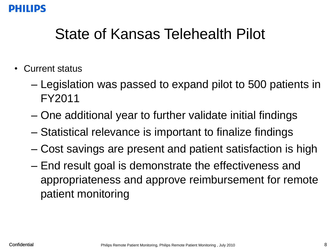#### DHIIIDC

### State of Kansas Telehealth Pilot

- Current status
	- Legislation was passed to expand pilot to 500 patients in FY2011
	- One additional year to further validate initial findings
	- Statistical relevance is important to finalize findings
	- Cost savings are present and patient satisfaction is high
	- End result goal is demonstrate the effectiveness and appropriateness and approve reimbursement for remote patient monitoring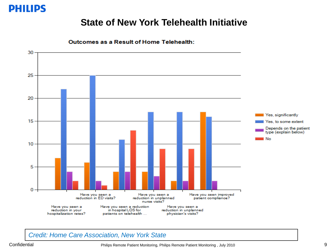

#### **State of New York Telehealth Initiative**



Outcomes as a Result of Home Telehealth:

#### *Credit: Home Care Association, New York State*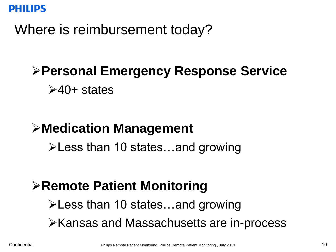

Where is reimbursement today?

### **Personal Emergency Response Service**

 $\geq 40+$  states

### **Medication Management**

Less than 10 states…and growing

### **Remote Patient Monitoring**

Less than 10 states…and growing

**EXALLE SHANSAS AND MASSACHUSETS Are in-process**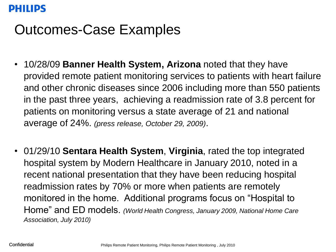#### **DHIIIDS**

### Outcomes-Case Examples

- 10/28/09 **Banner Health System, Arizona** noted that they have provided remote patient monitoring services to patients with heart failure and other chronic diseases since 2006 including more than 550 patients in the past three years, achieving a readmission rate of 3.8 percent for patients on monitoring versus a state average of 21 and national average of 24%. *(press release, October 29, 2009)*.
- 01/29/10 **Sentara Health System**, **Virginia**, rated the top integrated hospital system by Modern Healthcare in January 2010, noted in a recent national presentation that they have been reducing hospital readmission rates by 70% or more when patients are remotely monitored in the home. Additional programs focus on "Hospital to Home" and ED models. *(World Health Congress, January 2009, National Home Care Association, July 2010)*